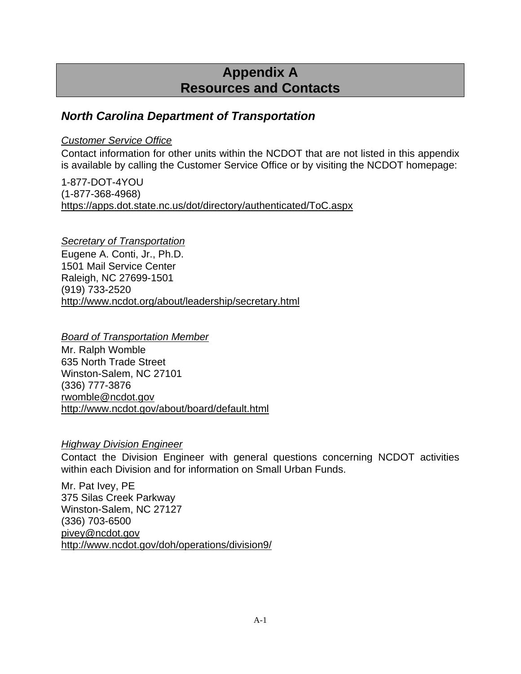# **Appendix A Resources and Contacts**

## *North Carolina Department of Transportation*

### *Customer Service Office*

Contact information for other units within the NCDOT that are not listed in this appendix is available by calling the Customer Service Office or by visiting the NCDOT homepage:

1-877-DOT-4YOU (1-877-368-4968) https://apps.dot.state.nc.us/dot/directory/authenticated/ToC.aspx

*Secretary of Transportation* Eugene A. Conti, Jr., Ph.D. 1501 Mail Service Center Raleigh, NC 27699-1501 (919) 733-2520 http://www.ncdot.org/about/leadership/secretary.html

### *Board of Transportation Member*

Mr. Ralph Womble 635 North Trade Street Winston-Salem, NC 27101 (336) 777-3876 rwomble@ncdot.gov http://www.ncdot.gov/about/board/default.html

### *Highway Division Engineer*

Contact the Division Engineer with general questions concerning NCDOT activities within each Division and for information on Small Urban Funds.

Mr. Pat Ivey, PE 375 Silas Creek Parkway Winston-Salem, NC 27127 (336) 703-6500 pivey@ncdot.gov http://www.ncdot.gov/doh/operations/division9/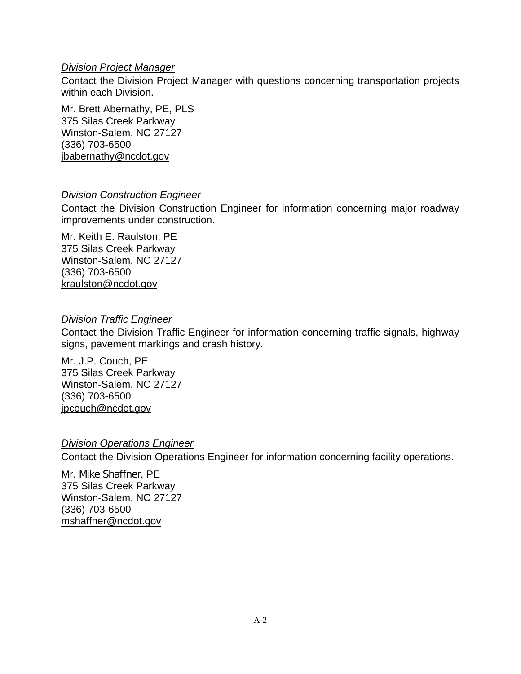### *Division Project Manager*

Contact the Division Project Manager with questions concerning transportation projects within each Division.

Mr. Brett Abernathy, PE, PLS 375 Silas Creek Parkway Winston-Salem, NC 27127 (336) 703-6500 jbabernathy@ncdot.gov

### *Division Construction Engineer*

Contact the Division Construction Engineer for information concerning major roadway improvements under construction.

Mr. Keith E. Raulston, PE 375 Silas Creek Parkway Winston-Salem, NC 27127 (336) 703-6500 kraulston@ncdot.gov

### *Division Traffic Engineer*

Contact the Division Traffic Engineer for information concerning traffic signals, highway signs, pavement markings and crash history.

Mr. J.P. Couch, PE 375 Silas Creek Parkway Winston-Salem, NC 27127 (336) 703-6500 jpcouch@ncdot.gov

### *Division Operations Engineer*

Contact the Division Operations Engineer for information concerning facility operations.

Mr. Mike Shaffner, PE 375 Silas Creek Parkway Winston-Salem, NC 27127 (336) 703-6500 mshaffner@ncdot.gov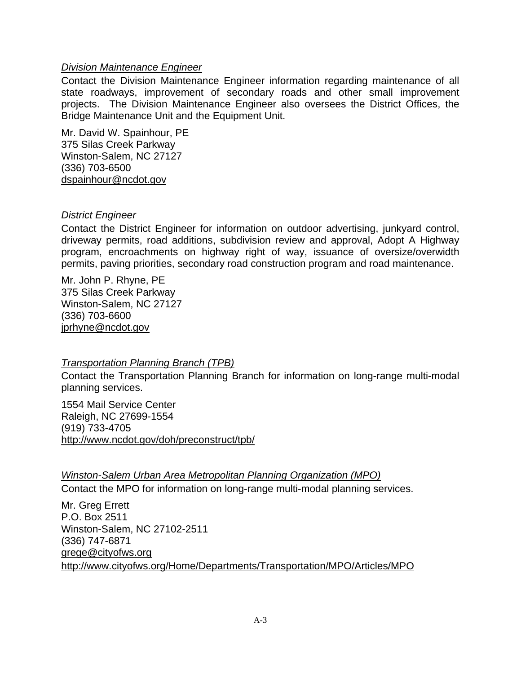### *Division Maintenance Engineer*

Contact the Division Maintenance Engineer information regarding maintenance of all state roadways, improvement of secondary roads and other small improvement projects. The Division Maintenance Engineer also oversees the District Offices, the Bridge Maintenance Unit and the Equipment Unit.

Mr. David W. Spainhour, PE 375 Silas Creek Parkway Winston-Salem, NC 27127 (336) 703-6500 dspainhour@ncdot.gov

### *District Engineer*

Contact the District Engineer for information on outdoor advertising, junkyard control, driveway permits, road additions, subdivision review and approval, Adopt A Highway program, encroachments on highway right of way, issuance of oversize/overwidth permits, paving priorities, secondary road construction program and road maintenance.

Mr. John P. Rhyne, PE 375 Silas Creek Parkway Winston-Salem, NC 27127 (336) 703-6600 jprhyne@ncdot.gov

### *Transportation Planning Branch (TPB)*

Contact the Transportation Planning Branch for information on long-range multi-modal planning services.

1554 Mail Service Center Raleigh, NC 27699-1554 (919) 733-4705 http://www.ncdot.gov/doh/preconstruct/tpb/

### *Winston-Salem Urban Area Metropolitan Planning Organization (MPO)*

Contact the MPO for information on long-range multi-modal planning services.

Mr. Greg Errett P.O. Box 2511 Winston-Salem, NC 27102-2511 (336) 747-6871 grege@cityofws.org http://www.cityofws.org/Home/Departments/Transportation/MPO/Articles/MPO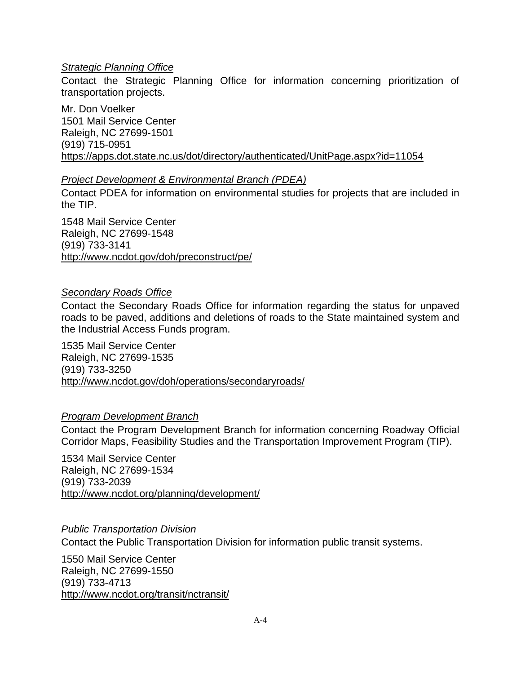### *Strategic Planning Office*

Contact the Strategic Planning Office for information concerning prioritization of transportation projects.

Mr. Don Voelker 1501 Mail Service Center Raleigh, NC 27699-1501 (919) 715-0951 https://apps.dot.state.nc.us/dot/directory/authenticated/UnitPage.aspx?id=11054

### *Project Development & Environmental Branch (PDEA)*

Contact PDEA for information on environmental studies for projects that are included in the TIP.

1548 Mail Service Center Raleigh, NC 27699-1548 (919) 733-3141 http://www.ncdot.gov/doh/preconstruct/pe/

### *Secondary Roads Office*

Contact the Secondary Roads Office for information regarding the status for unpaved roads to be paved, additions and deletions of roads to the State maintained system and the Industrial Access Funds program.

1535 Mail Service Center Raleigh, NC 27699-1535 (919) 733-3250 http://www.ncdot.gov/doh/operations/secondaryroads/

### *Program Development Branch*

Contact the Program Development Branch for information concerning Roadway Official Corridor Maps, Feasibility Studies and the Transportation Improvement Program (TIP).

1534 Mail Service Center Raleigh, NC 27699-1534 (919) 733-2039 http://www.ncdot.org/planning/development/

### *Public Transportation Division*

Contact the Public Transportation Division for information public transit systems.

1550 Mail Service Center Raleigh, NC 27699-1550 (919) 733-4713 http://www.ncdot.org/transit/nctransit/